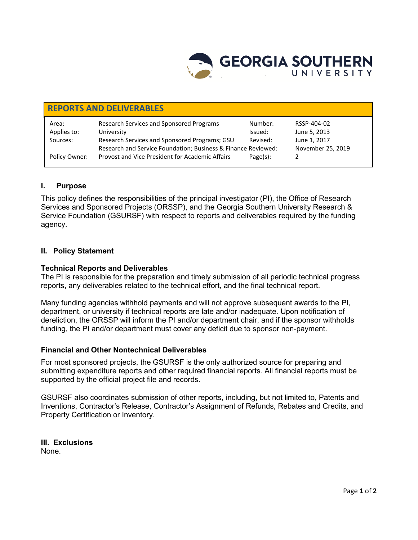

| <b>REPORTS AND DELIVERABLES</b> |                                                               |             |                   |
|---------------------------------|---------------------------------------------------------------|-------------|-------------------|
| Area:                           | Research Services and Sponsored Programs                      | Number:     | RSSP-404-02       |
| Applies to:                     | University                                                    | Issued:     | June 5, 2013      |
| Sources:                        | Research Services and Sponsored Programs; GSU                 | Revised:    | June 1, 2017      |
|                                 | Research and Service Foundation; Business & Finance Reviewed: |             | November 25, 2019 |
| Policy Owner:                   | Provost and Vice President for Academic Affairs               | $Page(s)$ : |                   |

## **I. Purpose**

This policy defines the responsibilities of the principal investigator (PI), the Office of Research Services and Sponsored Projects (ORSSP), and the Georgia Southern University Research & Service Foundation (GSURSF) with respect to reports and deliverables required by the funding agency.

### **II. Policy Statement**

## **Technical Reports and Deliverables**

The [PI](http://www.asu.edu/aad/manuals/rsp/rsp004.html#principalinvestigator) is responsible for the preparation and timely submission of all periodic technical progress reports, any deliverables related to the technical effort, and the final technical report.

Many funding agencies withhold payments and will not approve subsequent awards to the PI, department, or university if technical reports are late and/or inadequate. Upon notification of dereliction, the ORSSP will inform the PI and/or department chair, and if the sponsor withholds funding, the PI and/or department must cover any deficit due to sponsor non-payment.

### **Financial and Other Nontechnical Deliverables**

For most sponsored projects, the GSURSF is the only authorized source for preparing and submitting expenditure reports and other required financial reports. All financial reports must be supported by the official project file and records.

GSURSF also coordinates submission of other reports, including, but not limited to, Patents and Inventions, Contractor's Release, Contractor's Assignment of Refunds, Rebates and Credits, and Property Certification or Inventory.

**III. Exclusions**  None.